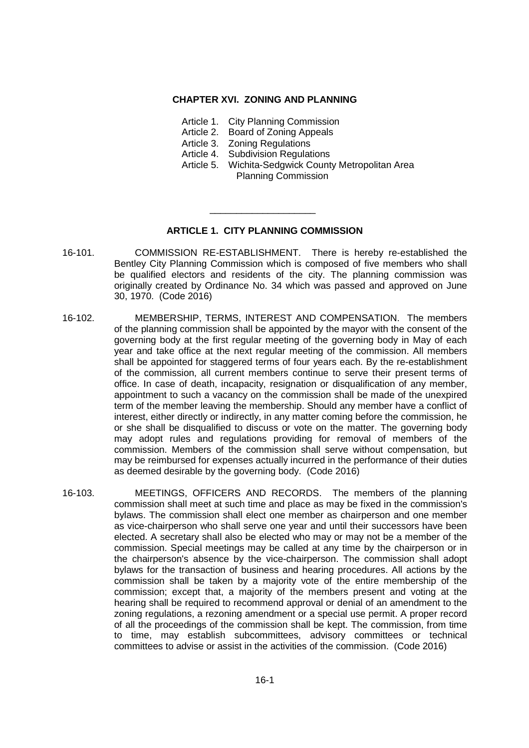#### **CHAPTER XVI. ZONING AND PLANNING**

- Article 1. City Planning Commission
- Article 2. Board of Zoning Appeals
- Article 3. Zoning Regulations
- Article 4. Subdivision Regulations
- Article 5. Wichita-Sedgwick County Metropolitan Area Planning Commission

# **ARTICLE 1. CITY PLANNING COMMISSION**

\_\_\_\_\_\_\_\_\_\_\_\_\_\_\_\_\_\_\_\_

- 16-101. COMMISSION RE-ESTABLISHMENT. There is hereby re-established the Bentley City Planning Commission which is composed of five members who shall be qualified electors and residents of the city. The planning commission was originally created by Ordinance No. 34 which was passed and approved on June 30, 1970. (Code 2016)
- 16-102. MEMBERSHIP, TERMS, INTEREST AND COMPENSATION. The members of the planning commission shall be appointed by the mayor with the consent of the governing body at the first regular meeting of the governing body in May of each year and take office at the next regular meeting of the commission. All members shall be appointed for staggered terms of four years each. By the re-establishment of the commission, all current members continue to serve their present terms of office. In case of death, incapacity, resignation or disqualification of any member, appointment to such a vacancy on the commission shall be made of the unexpired term of the member leaving the membership. Should any member have a conflict of interest, either directly or indirectly, in any matter coming before the commission, he or she shall be disqualified to discuss or vote on the matter. The governing body may adopt rules and regulations providing for removal of members of the commission. Members of the commission shall serve without compensation, but may be reimbursed for expenses actually incurred in the performance of their duties as deemed desirable by the governing body. (Code 2016)
- 16-103. MEETINGS, OFFICERS AND RECORDS. The members of the planning commission shall meet at such time and place as may be fixed in the commission's bylaws. The commission shall elect one member as chairperson and one member as vice-chairperson who shall serve one year and until their successors have been elected. A secretary shall also be elected who may or may not be a member of the commission. Special meetings may be called at any time by the chairperson or in the chairperson's absence by the vice-chairperson. The commission shall adopt bylaws for the transaction of business and hearing procedures. All actions by the commission shall be taken by a majority vote of the entire membership of the commission; except that, a majority of the members present and voting at the hearing shall be required to recommend approval or denial of an amendment to the zoning regulations, a rezoning amendment or a special use permit. A proper record of all the proceedings of the commission shall be kept. The commission, from time to time, may establish subcommittees, advisory committees or technical committees to advise or assist in the activities of the commission. (Code 2016)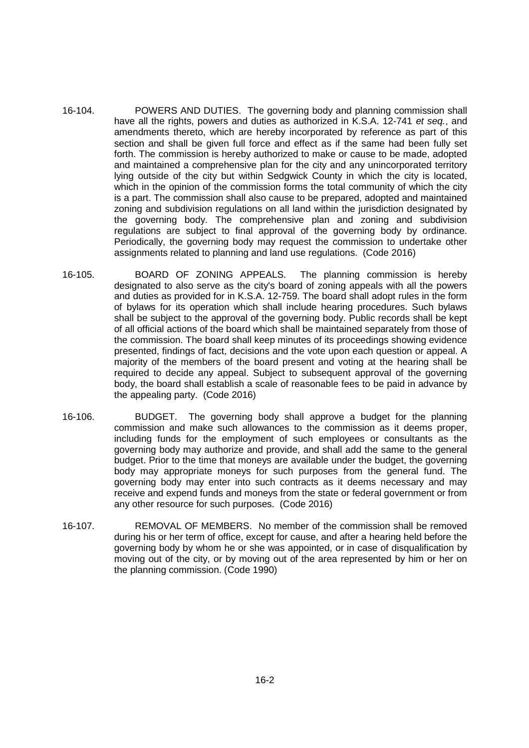- 16-104. POWERS AND DUTIES. The governing body and planning commission shall have all the rights, powers and duties as authorized in K.S.A. 12-741 *et seq.*, and amendments thereto, which are hereby incorporated by reference as part of this section and shall be given full force and effect as if the same had been fully set forth. The commission is hereby authorized to make or cause to be made, adopted and maintained a comprehensive plan for the city and any unincorporated territory lying outside of the city but within Sedgwick County in which the city is located, which in the opinion of the commission forms the total community of which the city is a part. The commission shall also cause to be prepared, adopted and maintained zoning and subdivision regulations on all land within the jurisdiction designated by the governing body. The comprehensive plan and zoning and subdivision regulations are subject to final approval of the governing body by ordinance. Periodically, the governing body may request the commission to undertake other assignments related to planning and land use regulations. (Code 2016)
- 16-105. BOARD OF ZONING APPEALS. The planning commission is hereby designated to also serve as the city's board of zoning appeals with all the powers and duties as provided for in K.S.A. 12-759. The board shall adopt rules in the form of bylaws for its operation which shall include hearing procedures. Such bylaws shall be subject to the approval of the governing body. Public records shall be kept of all official actions of the board which shall be maintained separately from those of the commission. The board shall keep minutes of its proceedings showing evidence presented, findings of fact, decisions and the vote upon each question or appeal. A majority of the members of the board present and voting at the hearing shall be required to decide any appeal. Subject to subsequent approval of the governing body, the board shall establish a scale of reasonable fees to be paid in advance by the appealing party. (Code 2016)
- 16-106. BUDGET. The governing body shall approve a budget for the planning commission and make such allowances to the commission as it deems proper, including funds for the employment of such employees or consultants as the governing body may authorize and provide, and shall add the same to the general budget. Prior to the time that moneys are available under the budget, the governing body may appropriate moneys for such purposes from the general fund. The governing body may enter into such contracts as it deems necessary and may receive and expend funds and moneys from the state or federal government or from any other resource for such purposes. (Code 2016)
- 16-107. REMOVAL OF MEMBERS. No member of the commission shall be removed during his or her term of office, except for cause, and after a hearing held before the governing body by whom he or she was appointed, or in case of disqualification by moving out of the city, or by moving out of the area represented by him or her on the planning commission. (Code 1990)